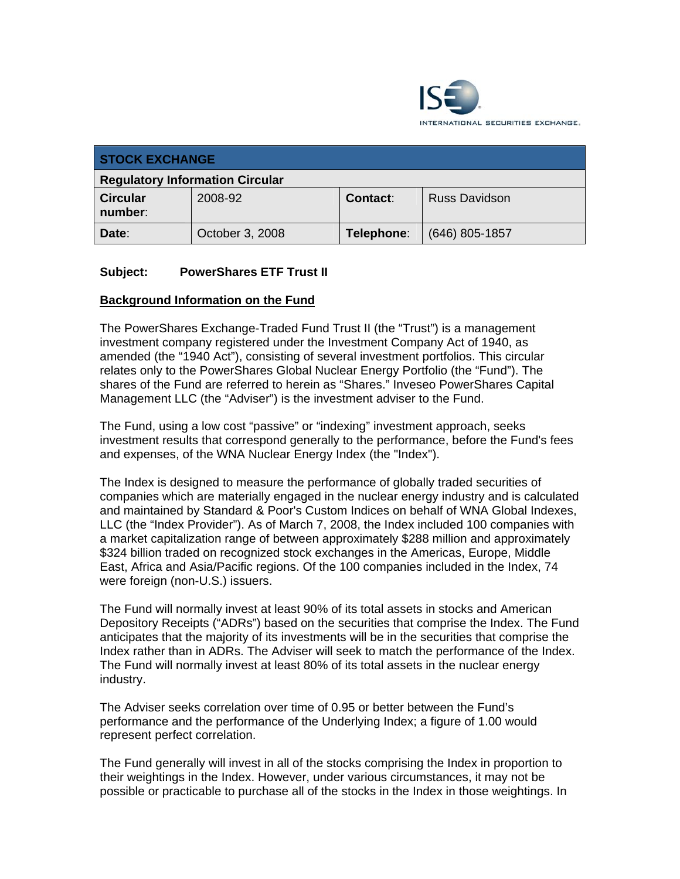

| <b>STOCK EXCHANGE</b>                  |                 |                 |                      |
|----------------------------------------|-----------------|-----------------|----------------------|
| <b>Regulatory Information Circular</b> |                 |                 |                      |
| <b>Circular</b><br>number:             | 2008-92         | <b>Contact:</b> | <b>Russ Davidson</b> |
| Date:                                  | October 3, 2008 | Telephone:      | $(646)$ 805-1857     |

### **Subject: PowerShares ETF Trust II**

#### **Background Information on the Fund**

The PowerShares Exchange-Traded Fund Trust II (the "Trust") is a management investment company registered under the Investment Company Act of 1940, as amended (the "1940 Act"), consisting of several investment portfolios. This circular relates only to the PowerShares Global Nuclear Energy Portfolio (the "Fund"). The shares of the Fund are referred to herein as "Shares." Inveseo PowerShares Capital Management LLC (the "Adviser") is the investment adviser to the Fund.

The Fund, using a low cost "passive" or "indexing" investment approach, seeks investment results that correspond generally to the performance, before the Fund's fees and expenses, of the WNA Nuclear Energy Index (the "Index").

The Index is designed to measure the performance of globally traded securities of companies which are materially engaged in the nuclear energy industry and is calculated and maintained by Standard & Poor's Custom Indices on behalf of WNA Global Indexes, LLC (the "Index Provider"). As of March 7, 2008, the Index included 100 companies with a market capitalization range of between approximately \$288 million and approximately \$324 billion traded on recognized stock exchanges in the Americas, Europe, Middle East, Africa and Asia/Pacific regions. Of the 100 companies included in the Index, 74 were foreign (non-U.S.) issuers.

The Fund will normally invest at least 90% of its total assets in stocks and American Depository Receipts ("ADRs") based on the securities that comprise the Index. The Fund anticipates that the majority of its investments will be in the securities that comprise the Index rather than in ADRs. The Adviser will seek to match the performance of the Index. The Fund will normally invest at least 80% of its total assets in the nuclear energy industry.

The Adviser seeks correlation over time of 0.95 or better between the Fund's performance and the performance of the Underlying Index; a figure of 1.00 would represent perfect correlation.

The Fund generally will invest in all of the stocks comprising the Index in proportion to their weightings in the Index. However, under various circumstances, it may not be possible or practicable to purchase all of the stocks in the Index in those weightings. In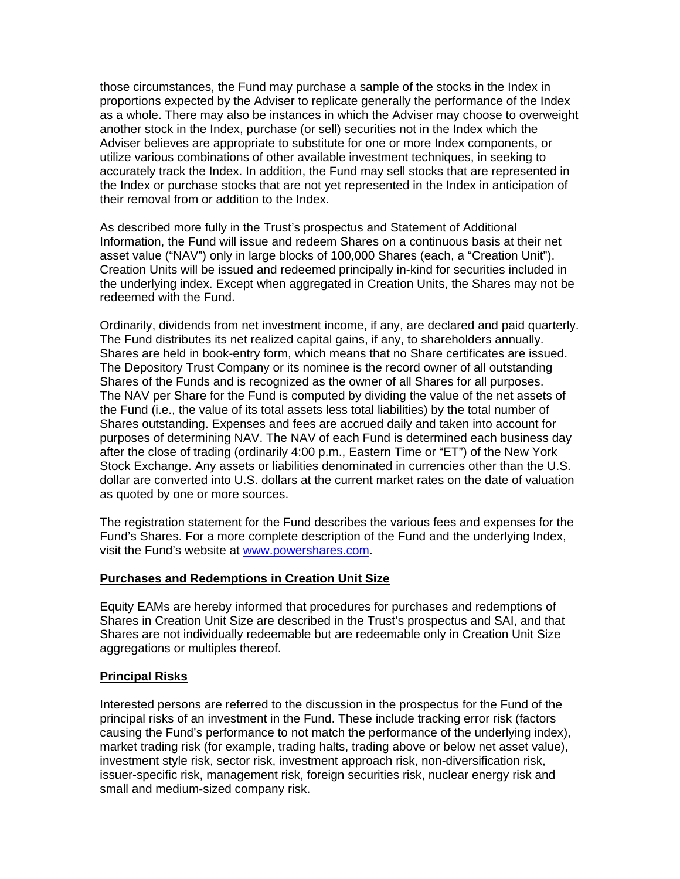those circumstances, the Fund may purchase a sample of the stocks in the Index in proportions expected by the Adviser to replicate generally the performance of the Index as a whole. There may also be instances in which the Adviser may choose to overweight another stock in the Index, purchase (or sell) securities not in the Index which the Adviser believes are appropriate to substitute for one or more Index components, or utilize various combinations of other available investment techniques, in seeking to accurately track the Index. In addition, the Fund may sell stocks that are represented in the Index or purchase stocks that are not yet represented in the Index in anticipation of their removal from or addition to the Index.

As described more fully in the Trust's prospectus and Statement of Additional Information, the Fund will issue and redeem Shares on a continuous basis at their net asset value ("NAV") only in large blocks of 100,000 Shares (each, a "Creation Unit"). Creation Units will be issued and redeemed principally in-kind for securities included in the underlying index. Except when aggregated in Creation Units, the Shares may not be redeemed with the Fund.

Ordinarily, dividends from net investment income, if any, are declared and paid quarterly. The Fund distributes its net realized capital gains, if any, to shareholders annually. Shares are held in book-entry form, which means that no Share certificates are issued. The Depository Trust Company or its nominee is the record owner of all outstanding Shares of the Funds and is recognized as the owner of all Shares for all purposes. The NAV per Share for the Fund is computed by dividing the value of the net assets of the Fund (i.e., the value of its total assets less total liabilities) by the total number of Shares outstanding. Expenses and fees are accrued daily and taken into account for purposes of determining NAV. The NAV of each Fund is determined each business day after the close of trading (ordinarily 4:00 p.m., Eastern Time or "ET") of the New York Stock Exchange. Any assets or liabilities denominated in currencies other than the U.S. dollar are converted into U.S. dollars at the current market rates on the date of valuation as quoted by one or more sources.

The registration statement for the Fund describes the various fees and expenses for the Fund's Shares. For a more complete description of the Fund and the underlying Index, visit the Fund's website at www.powershares.com.

#### **Purchases and Redemptions in Creation Unit Size**

Equity EAMs are hereby informed that procedures for purchases and redemptions of Shares in Creation Unit Size are described in the Trust's prospectus and SAI, and that Shares are not individually redeemable but are redeemable only in Creation Unit Size aggregations or multiples thereof.

#### **Principal Risks**

Interested persons are referred to the discussion in the prospectus for the Fund of the principal risks of an investment in the Fund. These include tracking error risk (factors causing the Fund's performance to not match the performance of the underlying index), market trading risk (for example, trading halts, trading above or below net asset value), investment style risk, sector risk, investment approach risk, non-diversification risk, issuer-specific risk, management risk, foreign securities risk, nuclear energy risk and small and medium-sized company risk.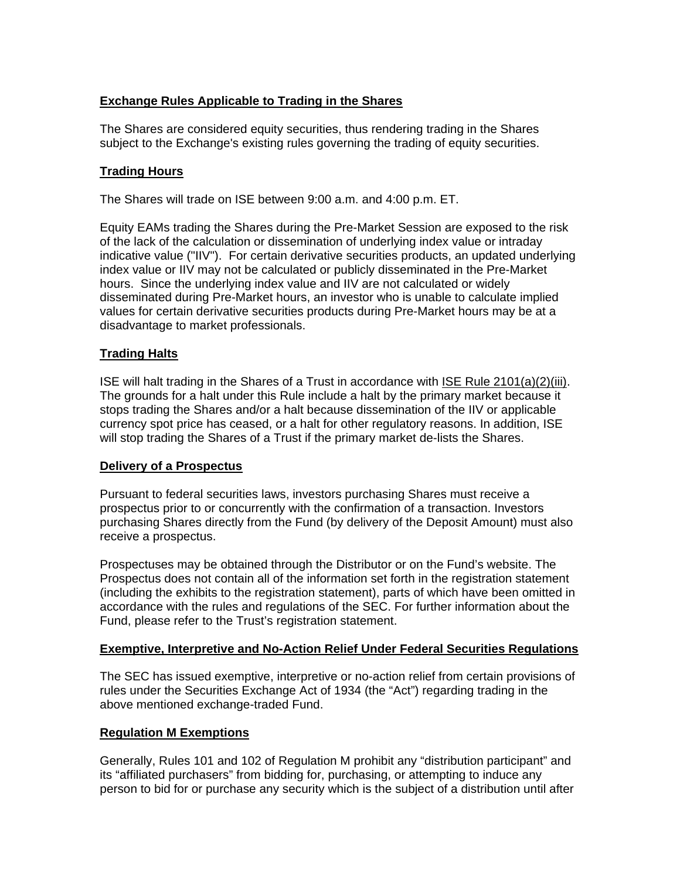## **Exchange Rules Applicable to Trading in the Shares**

The Shares are considered equity securities, thus rendering trading in the Shares subject to the Exchange's existing rules governing the trading of equity securities.

### **Trading Hours**

The Shares will trade on ISE between 9:00 a.m. and 4:00 p.m. ET.

Equity EAMs trading the Shares during the Pre-Market Session are exposed to the risk of the lack of the calculation or dissemination of underlying index value or intraday indicative value ("IIV"). For certain derivative securities products, an updated underlying index value or IIV may not be calculated or publicly disseminated in the Pre-Market hours. Since the underlying index value and IIV are not calculated or widely disseminated during Pre-Market hours, an investor who is unable to calculate implied values for certain derivative securities products during Pre-Market hours may be at a disadvantage to market professionals.

## **Trading Halts**

ISE will halt trading in the Shares of a Trust in accordance with ISE Rule 2101(a)(2)(iii). The grounds for a halt under this Rule include a halt by the primary market because it stops trading the Shares and/or a halt because dissemination of the IIV or applicable currency spot price has ceased, or a halt for other regulatory reasons. In addition, ISE will stop trading the Shares of a Trust if the primary market de-lists the Shares.

### **Delivery of a Prospectus**

Pursuant to federal securities laws, investors purchasing Shares must receive a prospectus prior to or concurrently with the confirmation of a transaction. Investors purchasing Shares directly from the Fund (by delivery of the Deposit Amount) must also receive a prospectus.

Prospectuses may be obtained through the Distributor or on the Fund's website. The Prospectus does not contain all of the information set forth in the registration statement (including the exhibits to the registration statement), parts of which have been omitted in accordance with the rules and regulations of the SEC. For further information about the Fund, please refer to the Trust's registration statement.

### **Exemptive, Interpretive and No-Action Relief Under Federal Securities Regulations**

The SEC has issued exemptive, interpretive or no-action relief from certain provisions of rules under the Securities Exchange Act of 1934 (the "Act") regarding trading in the above mentioned exchange-traded Fund.

### **Regulation M Exemptions**

Generally, Rules 101 and 102 of Regulation M prohibit any "distribution participant" and its "affiliated purchasers" from bidding for, purchasing, or attempting to induce any person to bid for or purchase any security which is the subject of a distribution until after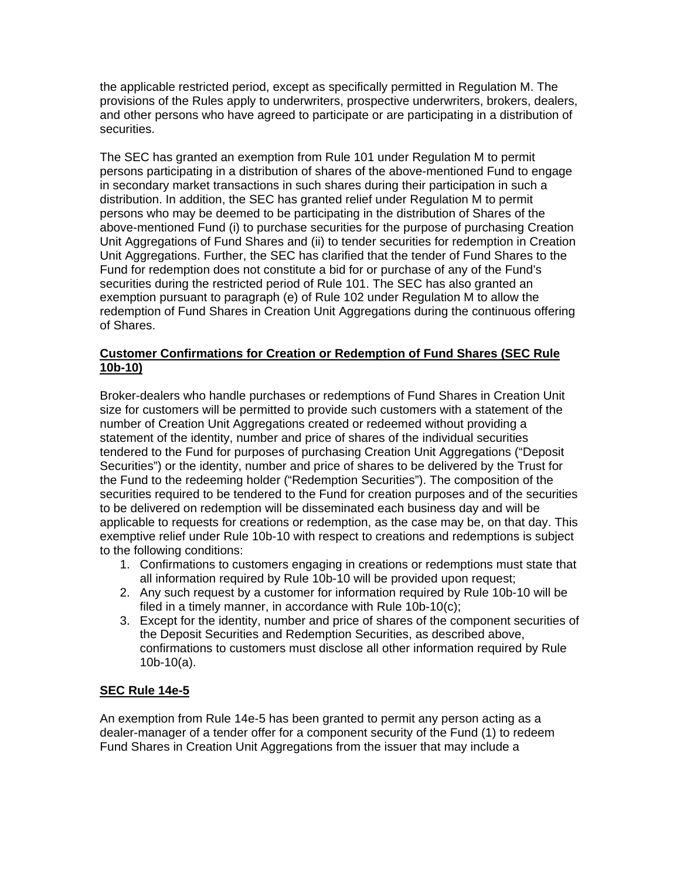the applicable restricted period, except as specifically permitted in Regulation M. The provisions of the Rules apply to underwriters, prospective underwriters, brokers, dealers, and other persons who have agreed to participate or are participating in a distribution of securities.

The SEC has granted an exemption from Rule 101 under Regulation M to permit persons participating in a distribution of shares of the above-mentioned Fund to engage in secondary market transactions in such shares during their participation in such a distribution. In addition, the SEC has granted relief under Regulation M to permit persons who may be deemed to be participating in the distribution of Shares of the above-mentioned Fund (i) to purchase securities for the purpose of purchasing Creation Unit Aggregations of Fund Shares and (ii) to tender securities for redemption in Creation Unit Aggregations. Further, the SEC has clarified that the tender of Fund Shares to the Fund for redemption does not constitute a bid for or purchase of any of the Fund's securities during the restricted period of Rule 101. The SEC has also granted an exemption pursuant to paragraph (e) of Rule 102 under Regulation M to allow the redemption of Fund Shares in Creation Unit Aggregations during the continuous offering of Shares.

## **Customer Confirmations for Creation or Redemption of Fund Shares (SEC Rule 10b-10)**

Broker-dealers who handle purchases or redemptions of Fund Shares in Creation Unit size for customers will be permitted to provide such customers with a statement of the number of Creation Unit Aggregations created or redeemed without providing a statement of the identity, number and price of shares of the individual securities tendered to the Fund for purposes of purchasing Creation Unit Aggregations ("Deposit Securities") or the identity, number and price of shares to be delivered by the Trust for the Fund to the redeeming holder ("Redemption Securities"). The composition of the securities required to be tendered to the Fund for creation purposes and of the securities to be delivered on redemption will be disseminated each business day and will be applicable to requests for creations or redemption, as the case may be, on that day. This exemptive relief under Rule 10b-10 with respect to creations and redemptions is subject to the following conditions:

- 1. Confirmations to customers engaging in creations or redemptions must state that all information required by Rule 10b-10 will be provided upon request;
- 2. Any such request by a customer for information required by Rule 10b-10 will be filed in a timely manner, in accordance with Rule 10b-10(c);
- 3. Except for the identity, number and price of shares of the component securities of the Deposit Securities and Redemption Securities, as described above, confirmations to customers must disclose all other information required by Rule  $10b-10(a)$ .

### **SEC Rule 14e-5**

An exemption from Rule 14e-5 has been granted to permit any person acting as a dealer-manager of a tender offer for a component security of the Fund (1) to redeem Fund Shares in Creation Unit Aggregations from the issuer that may include a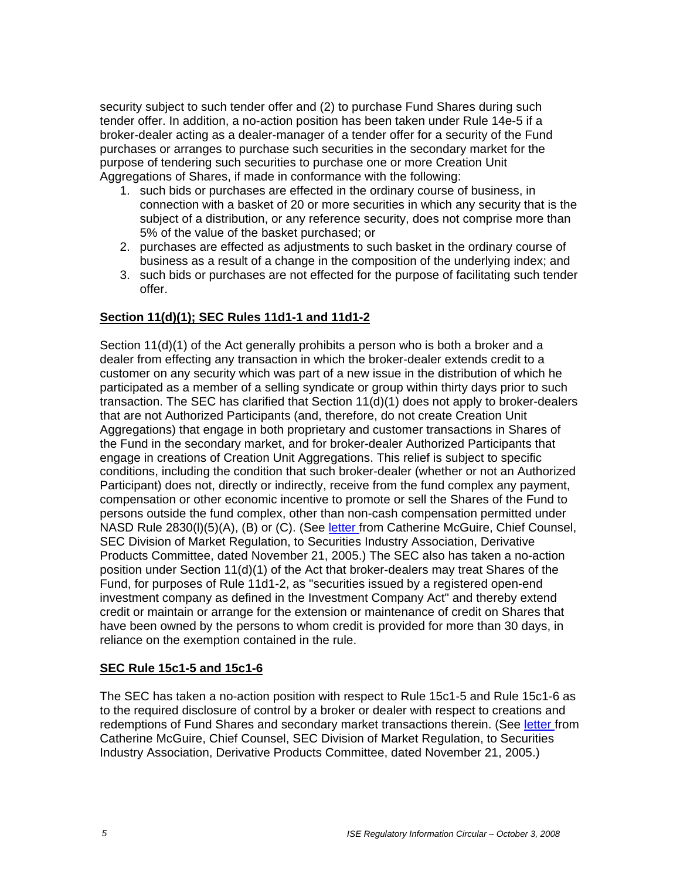security subject to such tender offer and (2) to purchase Fund Shares during such tender offer. In addition, a no-action position has been taken under Rule 14e-5 if a broker-dealer acting as a dealer-manager of a tender offer for a security of the Fund purchases or arranges to purchase such securities in the secondary market for the purpose of tendering such securities to purchase one or more Creation Unit Aggregations of Shares, if made in conformance with the following:

- 1. such bids or purchases are effected in the ordinary course of business, in connection with a basket of 20 or more securities in which any security that is the subject of a distribution, or any reference security, does not comprise more than 5% of the value of the basket purchased; or
- 2. purchases are effected as adjustments to such basket in the ordinary course of business as a result of a change in the composition of the underlying index; and
- 3. such bids or purchases are not effected for the purpose of facilitating such tender offer.

# **Section 11(d)(1); SEC Rules 11d1-1 and 11d1-2**

Section 11(d)(1) of the Act generally prohibits a person who is both a broker and a dealer from effecting any transaction in which the broker-dealer extends credit to a customer on any security which was part of a new issue in the distribution of which he participated as a member of a selling syndicate or group within thirty days prior to such transaction. The SEC has clarified that Section 11(d)(1) does not apply to broker-dealers that are not Authorized Participants (and, therefore, do not create Creation Unit Aggregations) that engage in both proprietary and customer transactions in Shares of the Fund in the secondary market, and for broker-dealer Authorized Participants that engage in creations of Creation Unit Aggregations. This relief is subject to specific conditions, including the condition that such broker-dealer (whether or not an Authorized Participant) does not, directly or indirectly, receive from the fund complex any payment, compensation or other economic incentive to promote or sell the Shares of the Fund to persons outside the fund complex, other than non-cash compensation permitted under NASD Rule 2830(I)(5)(A), (B) or (C). (See letter from Catherine McGuire, Chief Counsel, SEC Division of Market Regulation, to Securities Industry Association, Derivative Products Committee, dated November 21, 2005.) The SEC also has taken a no-action position under Section 11(d)(1) of the Act that broker-dealers may treat Shares of the Fund, for purposes of Rule 11d1-2, as "securities issued by a registered open-end investment company as defined in the Investment Company Act" and thereby extend credit or maintain or arrange for the extension or maintenance of credit on Shares that have been owned by the persons to whom credit is provided for more than 30 days, in reliance on the exemption contained in the rule.

### **SEC Rule 15c1-5 and 15c1-6**

The SEC has taken a no-action position with respect to Rule 15c1-5 and Rule 15c1-6 as to the required disclosure of control by a broker or dealer with respect to creations and redemptions of Fund Shares and secondary market transactions therein. (See letter from Catherine McGuire, Chief Counsel, SEC Division of Market Regulation, to Securities Industry Association, Derivative Products Committee, dated November 21, 2005.)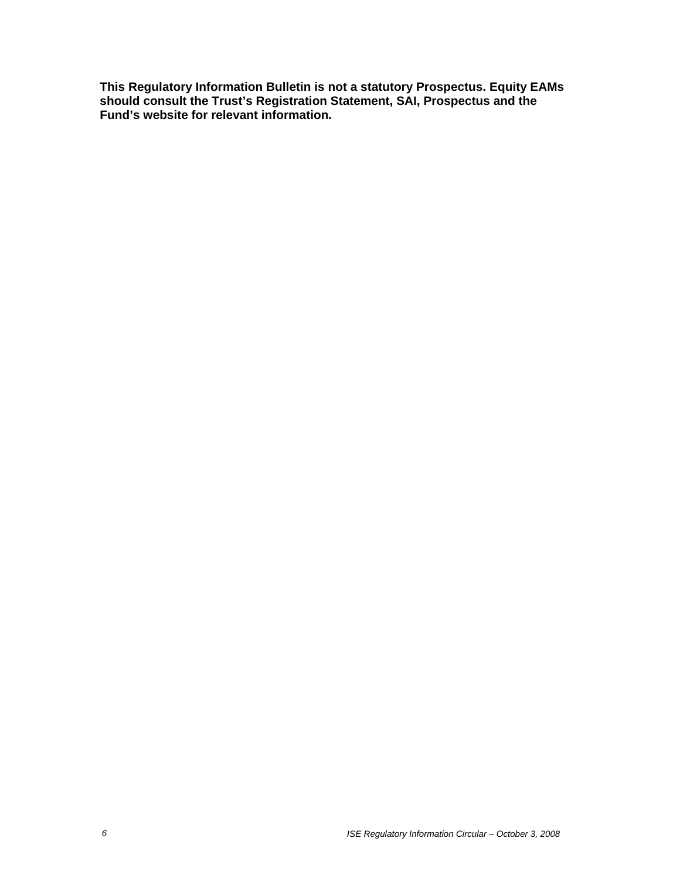**This Regulatory Information Bulletin is not a statutory Prospectus. Equity EAMs should consult the Trust's Registration Statement, SAI, Prospectus and the Fund's website for relevant information.**